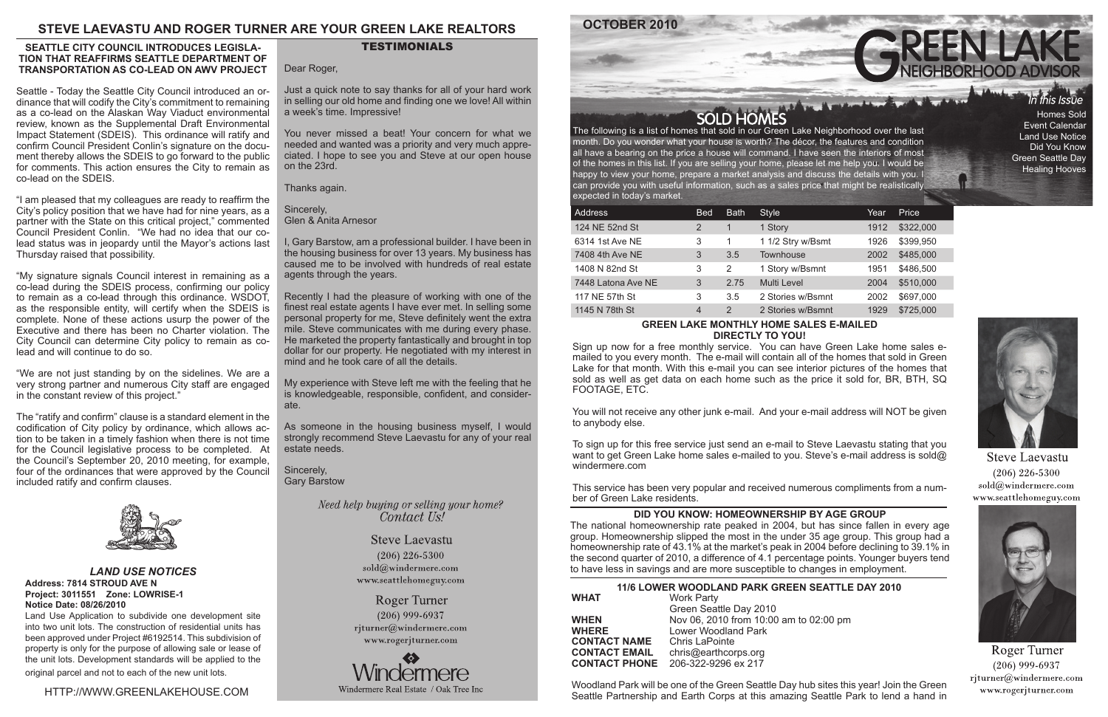HTTP://WWW.GREENLAKEHOUSE.COM

# **TESTIMONIALS**

month. Do you wonder what your house is worth? The décor, the features and condition all have a bearing on the price a house will command. I have seen the interiors of most of the homes in this list. If you are selling your home, please let me help you. I would be happy to view your home, prepare a market analysis and discuss the details with you. I can provide you with useful information, such as a sales price that might be realistically expected in today's market.

## **GREEN LAKE MONTHLY HOME SALES E-MAILED DIRECTLY TO YOU!**

Sign up now for a free monthly service. You can have Green Lake home sales emailed to you every month. The e-mail will contain all of the homes that sold in Green Lake for that month. With this e-mail you can see interior pictures of the homes that sold as well as get data on each home such as the price it sold for, BR, BTH, SQ FOOTAGE, ETC.

You will not receive any other junk e-mail. And your e-mail address will NOT be given to anybody else.

To sign up for this free service just send an e-mail to Steve Laevastu stating that you want to get Green Lake home sales e-mailed to you. Steve's e-mail address is sold@ windermere.com

This service has been very popular and received numerous compliments from a number of Green Lake residents.

# **STEVE LAEVASTU AND ROGER TURNER ARE YOUR GREEN LAKE REALTORS**

Homes Sold Event Calendar Land Use Notice Did You Know Green Seattle Day Healing Hooves

# **SEATTLE DAY 2010**

**D2:00 pm** 



**Steve Laevastu**  $(206)$  226-5300 sold@windermere.com www.seattlehomeguy.com



Roger Turner  $(206)$  999-6937 rjturner@windermere.com www.rogerjturner.com

| <b>Address</b>     | <b>Bed</b>     | <b>Bath</b> | <b>Style</b>       | Year | Price     |
|--------------------|----------------|-------------|--------------------|------|-----------|
| 124 NE 52nd St     | 2              |             | 1 Story            | 1912 | \$322,000 |
| 6314 1st Ave NE    | 3              | 1           | 1 1/2 Stry w/Bsmt  | 1926 | \$399,950 |
| 7408 4th Ave NE    | 3              | 3.5         | <b>Townhouse</b>   | 2002 | \$485,000 |
| 1408 N 82nd St     | 3              | 2           | 1 Story w/Bsmnt    | 1951 | \$486,500 |
| 7448 Latona Ave NE | 3              | 2.75        | <b>Multi Level</b> | 2004 | \$510,000 |
| 117 NE 57th St     | 3              | 3.5         | 2 Stories w/Bsmnt  | 2002 | \$697,000 |
| 1145 N 78th St     | $\overline{4}$ | 2           | 2 Stories w/Bsmnt  | 1929 | \$725,000 |
|                    |                |             |                    |      |           |

## *LAND USE NOTICES* **Address: 7814 STROUD AVE N Project: 3011551 Zone: LOWRISE-1 Notice Date: 08/26/2010**

Land Use Application to subdivide one development site into two unit lots. The construction of residential units has been approved under Project #6192514. This subdivision of property is only for the purpose of allowing sale or lease of the unit lots. Development standards will be applied to the original parcel and not to each of the new unit lots.

|                      | <b>11/6 LOWER WOODLAND PARK GREEN S</b> |
|----------------------|-----------------------------------------|
| <b>WHAT</b>          | <b>Work Party</b>                       |
|                      | Green Seattle Day 2010                  |
| <b>WHEN</b>          | Nov 06, 2010 from 10:00 am to 0         |
| <b>WHERE</b>         | <b>Lower Woodland Park</b>              |
| <b>CONTACT NAME</b>  | <b>Chris LaPointe</b>                   |
| <b>CONTACT EMAIL</b> | chris@earthcorps.org                    |
| <b>CONTACT PHONE</b> | 206-322-9296 ex 217                     |
|                      |                                         |

Woodland Park will be one of the Green Seattle Day hub sites this year! Join the Green Seattle Partnership and Earth Corps at this amazing Seattle Park to lend a hand in



## **DID YOU KNOW: HOMEOWNERSHIP BY AGE GROUP**

The national homeownership rate peaked in 2004, but has since fallen in every age group. Homeownership slipped the most in the under 35 age group. This group had a homeownership rate of 43.1% at the market's peak in 2004 before declining to 39.1% in the second quarter of 2010, a difference of 4.1 percentage points. Younger buyers tend to have less in savings and are more susceptible to changes in employment.

## **SEATTLE CITY COUNCIL INTRODUCES LEGISLA-TION THAT REAFFIRMS SEATTLE DEPARTMENT OF TRANSPORTATION AS CO-LEAD ON AWV PROJECT**

Seattle - Today the Seattle City Council introduced an ordinance that will codify the City's commitment to remaining as a co-lead on the Alaskan Way Viaduct environmental review, known as the Supplemental Draft Environmental Impact Statement (SDEIS). This ordinance will ratify and confirm Council President Conlin's signature on the document thereby allows the SDEIS to go forward to the public for comments. This action ensures the City to remain as co-lead on the SDEIS.

"I am pleased that my colleagues are ready to reaffirm the City's policy position that we have had for nine years, as a partner with the State on this critical project," commented Council President Conlin. "We had no idea that our colead status was in jeopardy until the Mayor's actions last Thursday raised that possibility.

"My signature signals Council interest in remaining as a co-lead during the SDEIS process, confirming our policy to remain as a co-lead through this ordinance. WSDOT, as the responsible entity, will certify when the SDEIS is complete. None of these actions usurp the power of the Executive and there has been no Charter violation. The City Council can determine City policy to remain as colead and will continue to do so.

"We are not just standing by on the sidelines. We are a very strong partner and numerous City staff are engaged in the constant review of this project."

The "ratify and confirm" clause is a standard element in the codification of City policy by ordinance, which allows action to be taken in a timely fashion when there is not time for the Council legislative process to be completed. At the Council's September 20, 2010 meeting, for example, four of the ordinances that were approved by the Council included ratify and confirm clauses.



Dear Roger,

Just a quick note to say thanks for all of your hard work in selling our old home and finding one we love! All within a week's time. Impressive!

You never missed a beat! Your concern for what we needed and wanted was a priority and very much appreciated. I hope to see you and Steve at our open house on the 23rd.

Thanks again.

Sincerely, Glen & Anita Arnesor

I, Gary Barstow, am a professional builder. I have been in the housing business for over 13 years. My business has caused me to be involved with hundreds of real estate agents through the years.

Recently I had the pleasure of working with one of the finest real estate agents I have ever met. In selling some personal property for me, Steve definitely went the extra mile. Steve communicates with me during every phase. He marketed the property fantastically and brought in top dollar for our property. He negotiated with my interest in mind and he took care of all the details.

My experience with Steve left me with the feeling that he is knowledgeable, responsible, confident, and considerate.

As someone in the housing business myself, I would strongly recommend Steve Laevastu for any of your real estate needs.

Sincerely, Gary Barstow

> Need help buying or selling your home? Contact Us!

> > **Steve Laevastu**  $(206)$  226-5300 sold@windermere.com www.seattlehomeguy.com

**Roger Turner**  $(206)$  999-6937 rjturner@windermere.com www.rogerjturner.com



# **OCTOBER 2010** SOLD HOMES<br>The following is a list of homes that sold in our Green Lake Neighborhood over the last